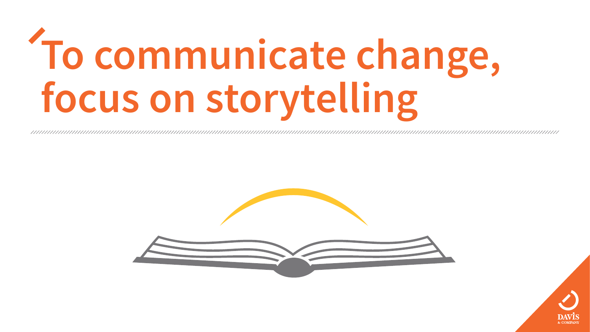## **To communicate change, focus on storytelling**



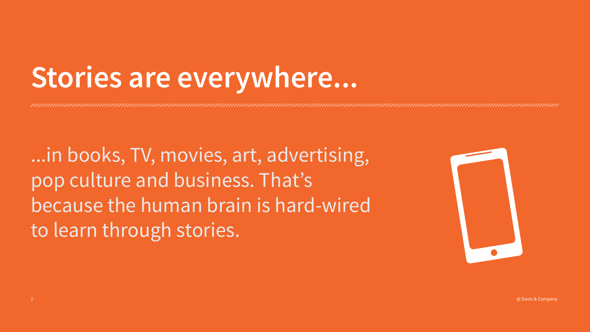### Stories are everywhere...

...in books, TV, movies, art, advertising, pop culture and business. That's because the human brain is hard-wired to learn through stories.



 $\oslash$  Davis & Company  $\oslash$  Davis & Company  $\oslash$ 

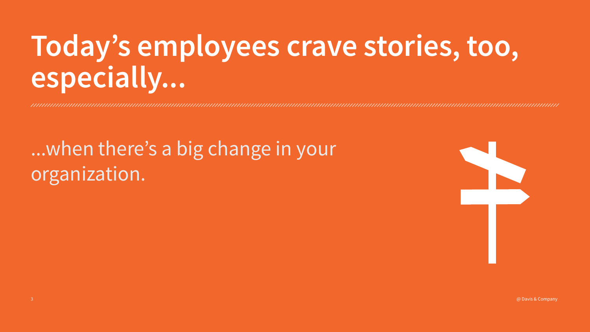@ Davis & Company



### Today's employees crave stories, too, especially...

...when there's a big change in your organization.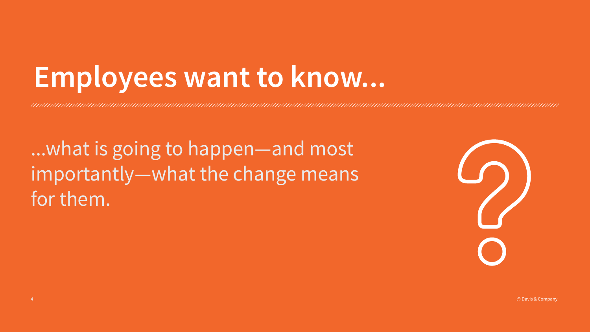### Employees want to know...

...what is going to happen—and most importantly — what the change means for them.

![](_page_3_Picture_3.jpeg)

 $\oslash$  Davis & Company  $\oslash$  Davis & Company  $\oslash$ 

![](_page_3_Picture_5.jpeg)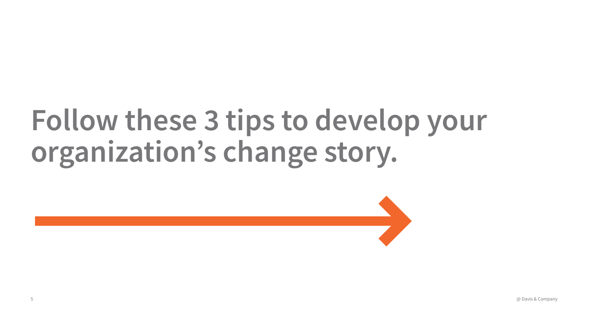### Follow these 3 tips to develop your organization's change story.

@ Davis & Company 5 @ Davis & Company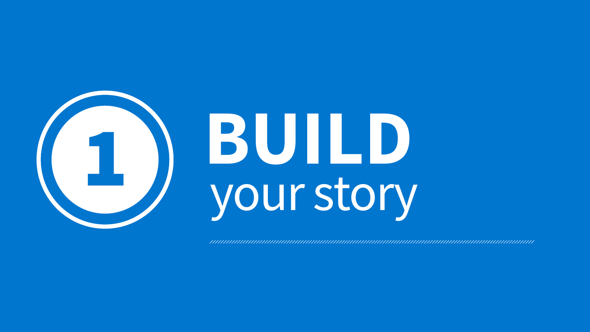![](_page_5_Picture_0.jpeg)

![](_page_5_Picture_1.jpeg)

## **BUILD** your story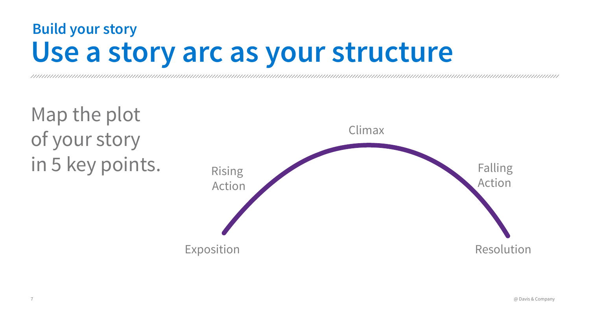![](_page_6_Picture_7.jpeg)

Climax

Rising Action

### Map the plot of your story in 5 key points.

7 @ Davis & Company

### **Build your story Use a story arc as your structure**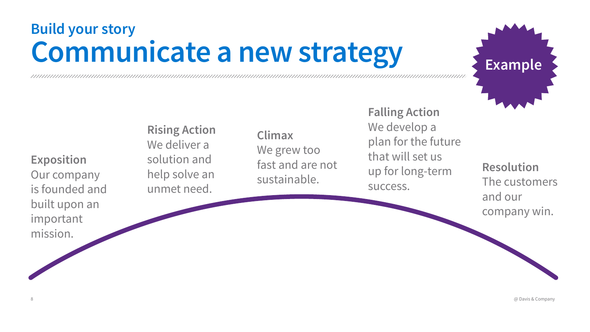### **Exposition** Our company is founded and built upon an important

mission.

**Rising Action**  We deliver a solution and help solve an unmet need.

**Climax** We grew too fast and are not sustainable.

**Falling Action** We develop a plan for the future that will set us up for long-term success.

**Resolution** The customers and our company win.

### **Communicate a new strategy Build your story**

8 @ Davis & Company

![](_page_7_Picture_10.jpeg)

**Example**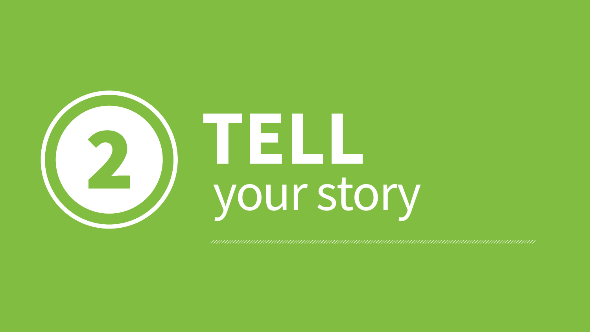![](_page_8_Picture_0.jpeg)

# your story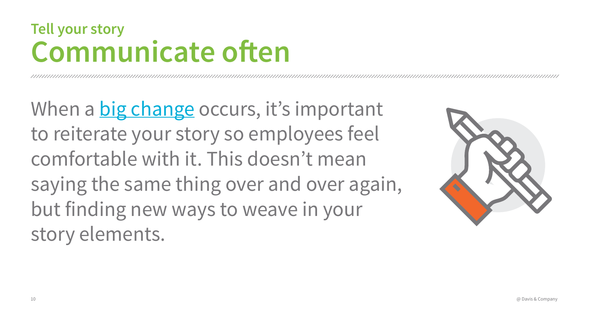When a [big change](https://www.davisandco.com/video/how-communicate-big-change) occurs, it's important to reiterate your story so employees feel comfortable with it. This doesn't mean saying the same thing over and over again, but finding new ways to weave in your story elements.

![](_page_9_Picture_5.jpeg)

### **Communicate often Tell your story**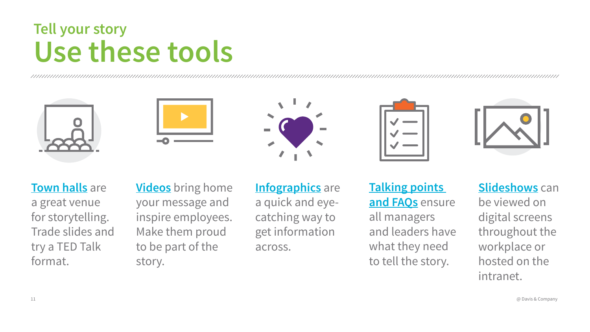**[Town halls](https://www.davisandco.com/book/revitalize-employee-town-hall-meetings-e-book)** are

a great venue for storytelling. Trade slides and try a TED Talk format.

**[Infographics](https://www.davisandco.com/resources?type=infographic)** are a quick and eyecatching way to get information across.

![](_page_10_Picture_11.jpeg)

![](_page_10_Picture_12.jpeg)

![](_page_10_Picture_13.jpeg)

**[Videos](https://www.davisandco.com/resources?type=videos)** bring home your message and inspire employees. Make them proud to be part of the story.

**[Slideshows](https://www.davisandco.com/resources?type=smart_guide)** can be viewed on digital screens throughout the workplace or hosted on the intranet.  $\varpi$  Davis & Company

**[Talking points](https://www.davisandco.com/guide/how-create-awesome-faqs-help-managers-communicate)  and FAQs** ensure all managers and leaders have what they need to tell the story.

### **Use these tools Tell your story**

![](_page_10_Picture_2.jpeg)

![](_page_10_Picture_3.jpeg)

![](_page_10_Picture_4.jpeg)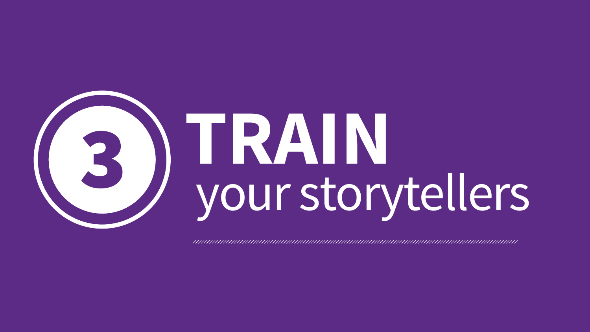![](_page_11_Picture_0.jpeg)

## **TRAIN** your storytellers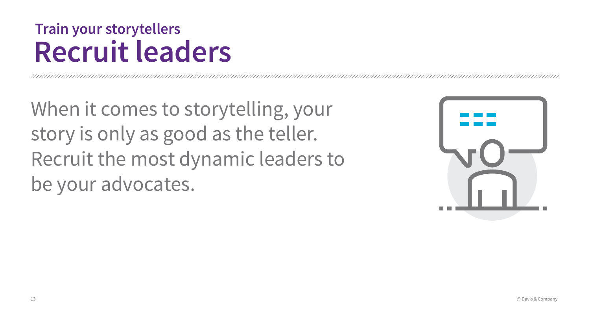When it comes to storytelling, your story is only as good as the teller. Recruit the most dynamic leaders to be your advocates.

![](_page_12_Picture_4.jpeg)

### **Recruit leaders Train your storytellers**

13 @ Davis & Company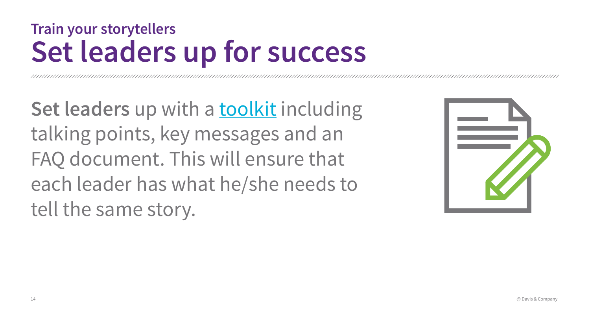Set leaders up with a **toolkit** including talking points, key messages and an FAQ document. This will ensure that each leader has what he/she needs to tell the same story.

![](_page_13_Picture_4.jpeg)

### **Set leaders up for success Train your storytellers**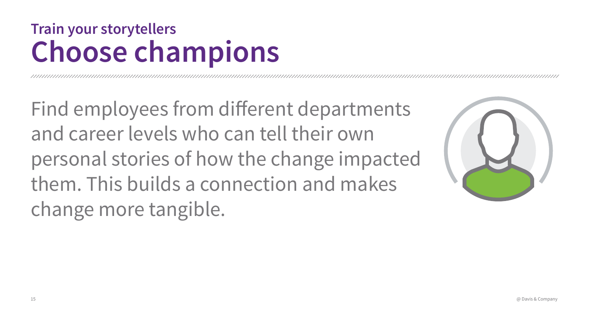Find employees from different departments and career levels who can tell their own personal stories of how the change impacted them. This builds a connection and makes change more tangible.

![](_page_14_Picture_4.jpeg)

![](_page_14_Picture_6.jpeg)

### **Choose champions Train your storytellers**

15 @ Davis & Company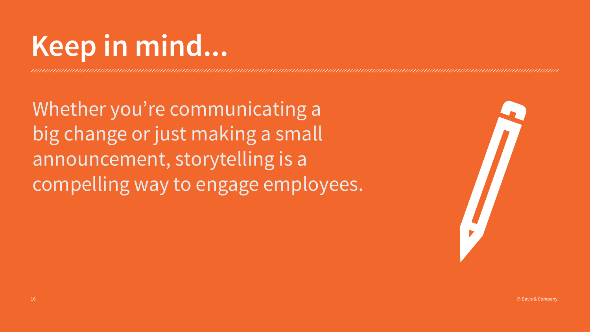Whether you're communicating a big change or just making a small announcement, storytelling is a compelling way to engage employees.

![](_page_15_Picture_3.jpeg)

 $\oslash$  Davis & Company  $\oslash$  Davis & Company  $\oslash$ 

![](_page_15_Picture_5.jpeg)

### **Keep in mind...**